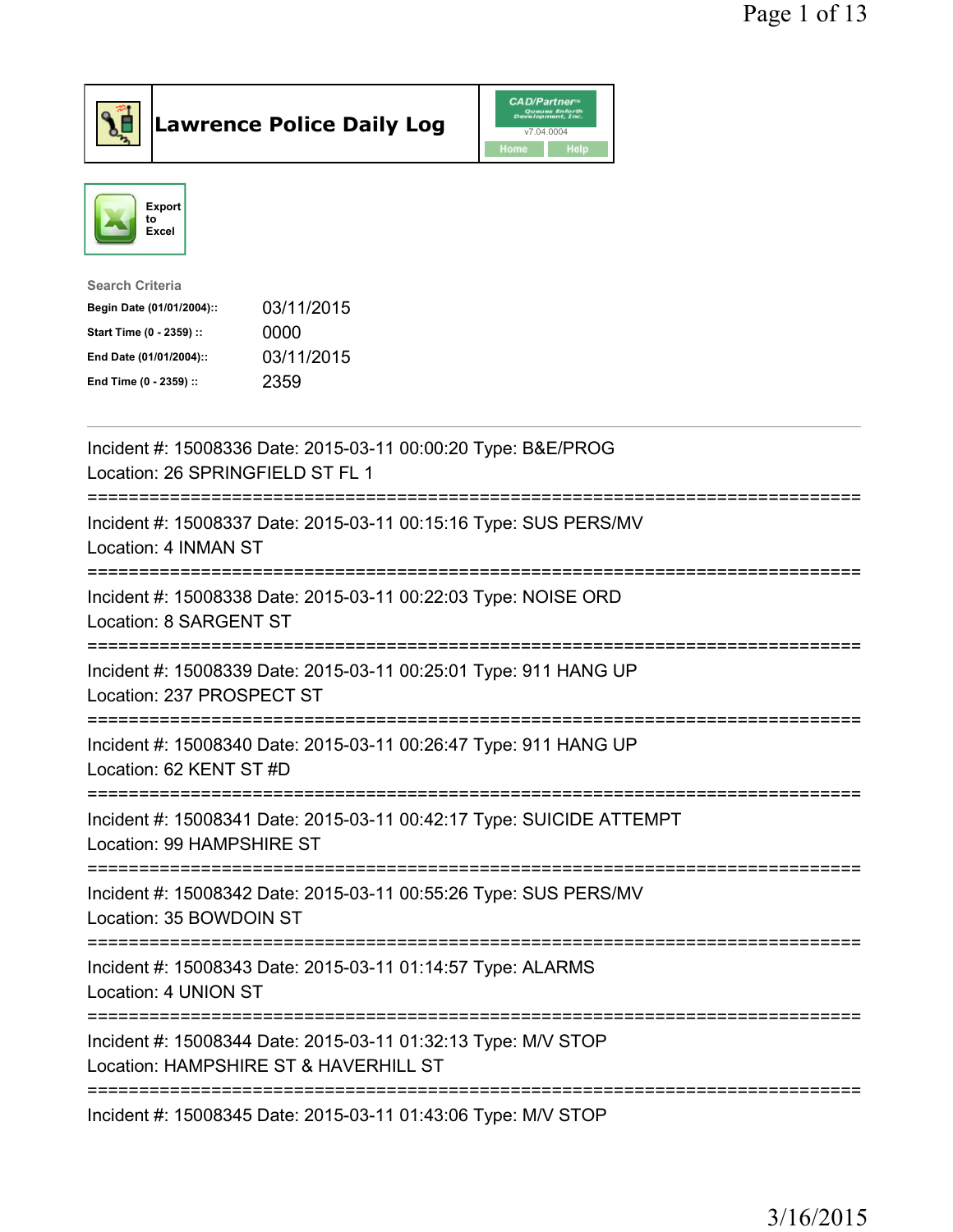



| <b>Search Criteria</b>    |            |
|---------------------------|------------|
| Begin Date (01/01/2004):: | 03/11/2015 |
| Start Time (0 - 2359) ::  | 0000       |
| End Date (01/01/2004)::   | 03/11/2015 |
| End Time (0 - 2359) ::    | 2359       |
|                           |            |

| Incident #: 15008336 Date: 2015-03-11 00:00:20 Type: B&E/PROG<br>Location: 26 SPRINGFIELD ST FL 1                                         |
|-------------------------------------------------------------------------------------------------------------------------------------------|
| Incident #: 15008337 Date: 2015-03-11 00:15:16 Type: SUS PERS/MV<br>Location: 4 INMAN ST                                                  |
| Incident #: 15008338 Date: 2015-03-11 00:22:03 Type: NOISE ORD<br>Location: 8 SARGENT ST                                                  |
| Incident #: 15008339 Date: 2015-03-11 00:25:01 Type: 911 HANG UP<br>Location: 237 PROSPECT ST                                             |
| Incident #: 15008340 Date: 2015-03-11 00:26:47 Type: 911 HANG UP<br>Location: 62 KENT ST #D                                               |
| Incident #: 15008341 Date: 2015-03-11 00:42:17 Type: SUICIDE ATTEMPT<br>Location: 99 HAMPSHIRE ST                                         |
| Incident #: 15008342 Date: 2015-03-11 00:55:26 Type: SUS PERS/MV<br>Location: 35 BOWDOIN ST                                               |
| Incident #: 15008343 Date: 2015-03-11 01:14:57 Type: ALARMS<br>Location: 4 UNION ST                                                       |
| Incident #: 15008344 Date: 2015-03-11 01:32:13 Type: M/V STOP<br>Location: HAMPSHIRE ST & HAVERHILL ST<br>------------------------------- |
| Incident #: 15008345 Date: 2015-03-11 01:43:06 Type: M/V STOP                                                                             |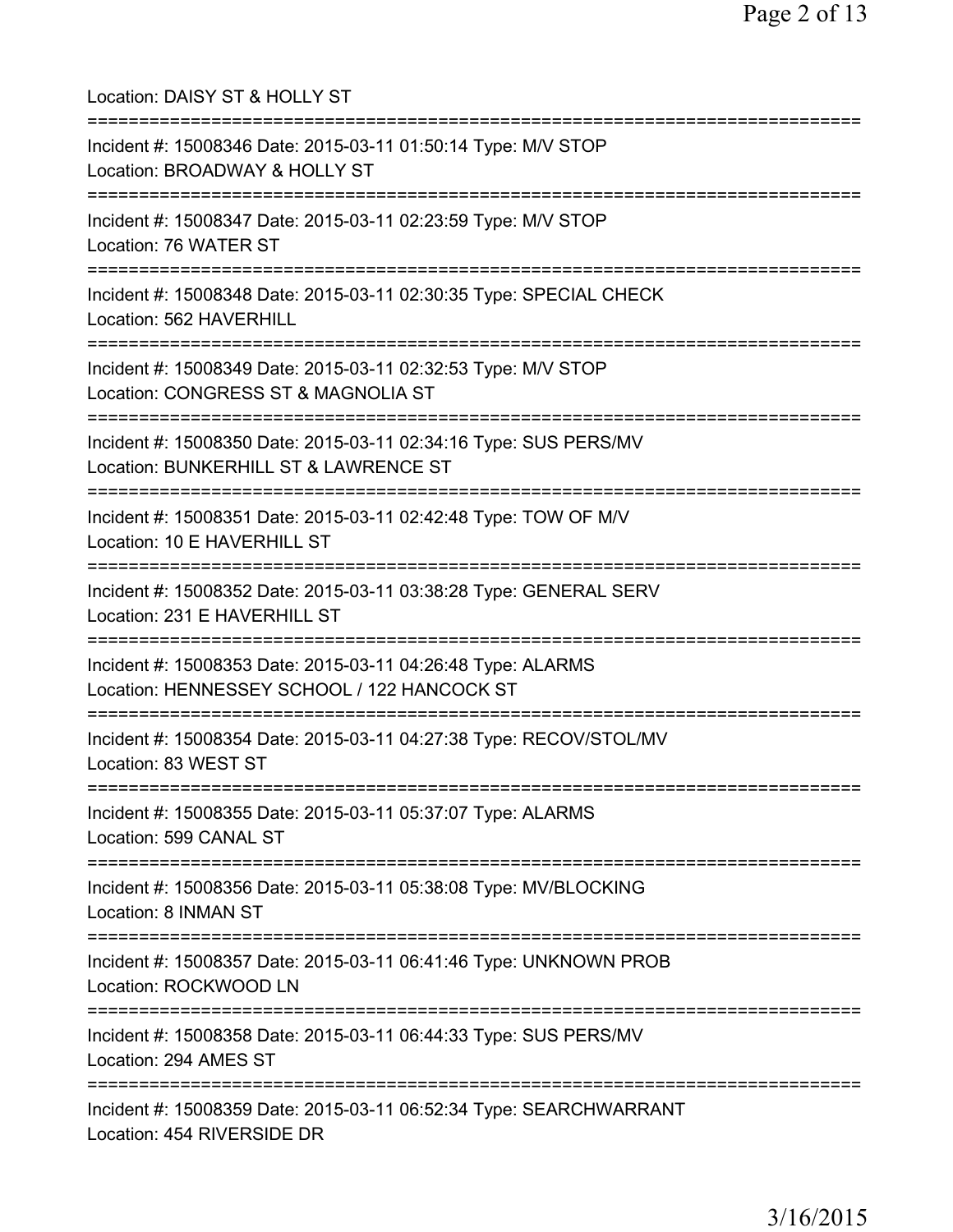Location: DAISY ST & HOLLY ST =========================================================================== Incident #: 15008346 Date: 2015-03-11 01:50:14 Type: M/V STOP Location: BROADWAY & HOLLY ST =========================================================================== Incident #: 15008347 Date: 2015-03-11 02:23:59 Type: M/V STOP Location: 76 WATER ST =========================================================================== Incident #: 15008348 Date: 2015-03-11 02:30:35 Type: SPECIAL CHECK Location: 562 HAVERHILL =========================================================================== Incident #: 15008349 Date: 2015-03-11 02:32:53 Type: M/V STOP Location: CONGRESS ST & MAGNOLIA ST =========================================================================== Incident #: 15008350 Date: 2015-03-11 02:34:16 Type: SUS PERS/MV Location: BUNKERHILL ST & LAWRENCE ST =========================================================================== Incident #: 15008351 Date: 2015-03-11 02:42:48 Type: TOW OF M/V Location: 10 E HAVERHILL ST =========================================================================== Incident #: 15008352 Date: 2015-03-11 03:38:28 Type: GENERAL SERV Location: 231 E HAVERHILL ST =========================================================================== Incident #: 15008353 Date: 2015-03-11 04:26:48 Type: ALARMS Location: HENNESSEY SCHOOL / 122 HANCOCK ST =========================================================================== Incident #: 15008354 Date: 2015-03-11 04:27:38 Type: RECOV/STOL/MV Location: 83 WEST ST =========================================================================== Incident #: 15008355 Date: 2015-03-11 05:37:07 Type: ALARMS Location: 599 CANAL ST =========================================================================== Incident #: 15008356 Date: 2015-03-11 05:38:08 Type: MV/BLOCKING Location: 8 INMAN ST =========================================================================== Incident #: 15008357 Date: 2015-03-11 06:41:46 Type: UNKNOWN PROB Location: ROCKWOOD LN =========================================================================== Incident #: 15008358 Date: 2015-03-11 06:44:33 Type: SUS PERS/MV Location: 294 AMES ST =========================================================================== Incident #: 15008359 Date: 2015-03-11 06:52:34 Type: SEARCHWARRANT Location: 454 RIVERSIDE DR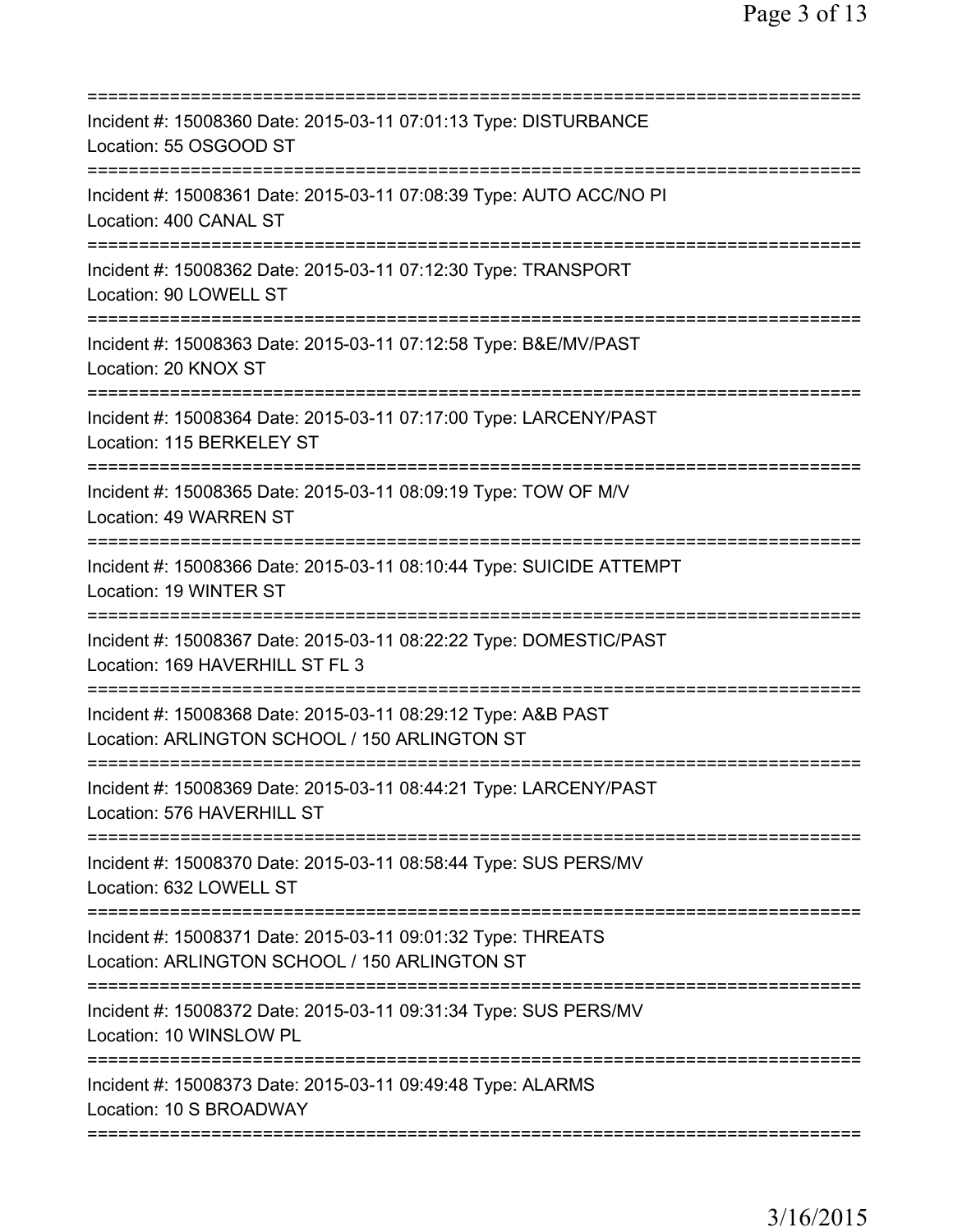| Incident #: 15008360 Date: 2015-03-11 07:01:13 Type: DISTURBANCE<br>Location: 55 OSGOOD ST                                                  |
|---------------------------------------------------------------------------------------------------------------------------------------------|
| Incident #: 15008361 Date: 2015-03-11 07:08:39 Type: AUTO ACC/NO PI<br>Location: 400 CANAL ST                                               |
| Incident #: 15008362 Date: 2015-03-11 07:12:30 Type: TRANSPORT<br>Location: 90 LOWELL ST                                                    |
| Incident #: 15008363 Date: 2015-03-11 07:12:58 Type: B&E/MV/PAST<br>Location: 20 KNOX ST                                                    |
| Incident #: 15008364 Date: 2015-03-11 07:17:00 Type: LARCENY/PAST<br>Location: 115 BERKELEY ST                                              |
| =====================================<br>Incident #: 15008365 Date: 2015-03-11 08:09:19 Type: TOW OF M/V<br><b>Location: 49 WARREN ST</b>   |
| =====================================<br>Incident #: 15008366 Date: 2015-03-11 08:10:44 Type: SUICIDE ATTEMPT<br>Location: 19 WINTER ST     |
| ==================================<br>Incident #: 15008367 Date: 2015-03-11 08:22:22 Type: DOMESTIC/PAST<br>Location: 169 HAVERHILL ST FL 3 |
| Incident #: 15008368 Date: 2015-03-11 08:29:12 Type: A&B PAST<br>Location: ARLINGTON SCHOOL / 150 ARLINGTON ST                              |
| Incident #: 15008369 Date: 2015-03-11 08:44:21 Type: LARCENY/PAST<br>Location: 576 HAVERHILL ST                                             |
| Incident #: 15008370 Date: 2015-03-11 08:58:44 Type: SUS PERS/MV<br>Location: 632 LOWELL ST                                                 |
| Incident #: 15008371 Date: 2015-03-11 09:01:32 Type: THREATS<br>Location: ARLINGTON SCHOOL / 150 ARLINGTON ST                               |
| Incident #: 15008372 Date: 2015-03-11 09:31:34 Type: SUS PERS/MV<br>Location: 10 WINSLOW PL                                                 |
| Incident #: 15008373 Date: 2015-03-11 09:49:48 Type: ALARMS<br>Location: 10 S BROADWAY                                                      |
|                                                                                                                                             |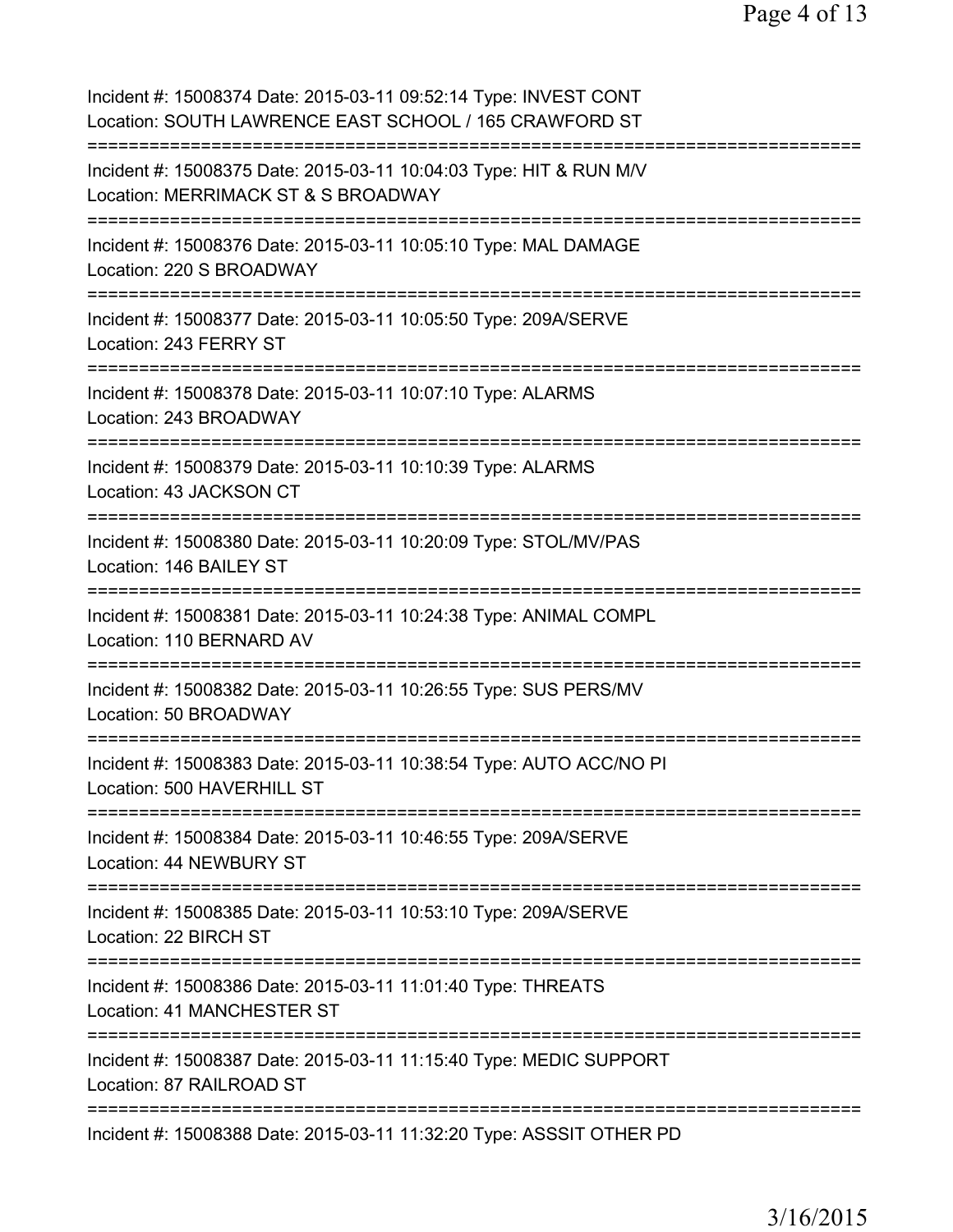Incident #: 15008374 Date: 2015-03-11 09:52:14 Type: INVEST CONT Location: SOUTH LAWRENCE EAST SCHOOL / 165 CRAWFORD ST =========================================================================== Incident #: 15008375 Date: 2015-03-11 10:04:03 Type: HIT & RUN M/V Location: MERRIMACK ST & S BROADWAY =========================================================================== Incident #: 15008376 Date: 2015-03-11 10:05:10 Type: MAL DAMAGE Location: 220 S BROADWAY =========================================================================== Incident #: 15008377 Date: 2015-03-11 10:05:50 Type: 209A/SERVE Location: 243 FERRY ST =========================================================================== Incident #: 15008378 Date: 2015-03-11 10:07:10 Type: ALARMS Location: 243 BROADWAY =========================================================================== Incident #: 15008379 Date: 2015-03-11 10:10:39 Type: ALARMS Location: 43 JACKSON CT =========================================================================== Incident #: 15008380 Date: 2015-03-11 10:20:09 Type: STOL/MV/PAS Location: 146 BAILEY ST =========================================================================== Incident #: 15008381 Date: 2015-03-11 10:24:38 Type: ANIMAL COMPL Location: 110 BERNARD AV =========================================================================== Incident #: 15008382 Date: 2015-03-11 10:26:55 Type: SUS PERS/MV Location: 50 BROADWAY =========================================================================== Incident #: 15008383 Date: 2015-03-11 10:38:54 Type: AUTO ACC/NO PI Location: 500 HAVERHILL ST =========================================================================== Incident #: 15008384 Date: 2015-03-11 10:46:55 Type: 209A/SERVE Location: 44 NEWBURY ST =========================================================================== Incident #: 15008385 Date: 2015-03-11 10:53:10 Type: 209A/SERVE Location: 22 BIRCH ST =========================================================================== Incident #: 15008386 Date: 2015-03-11 11:01:40 Type: THREATS Location: 41 MANCHESTER ST =========================================================================== Incident #: 15008387 Date: 2015-03-11 11:15:40 Type: MEDIC SUPPORT Location: 87 RAILROAD ST =========================================================================== Incident #: 15008388 Date: 2015-03-11 11:32:20 Type: ASSSIT OTHER PD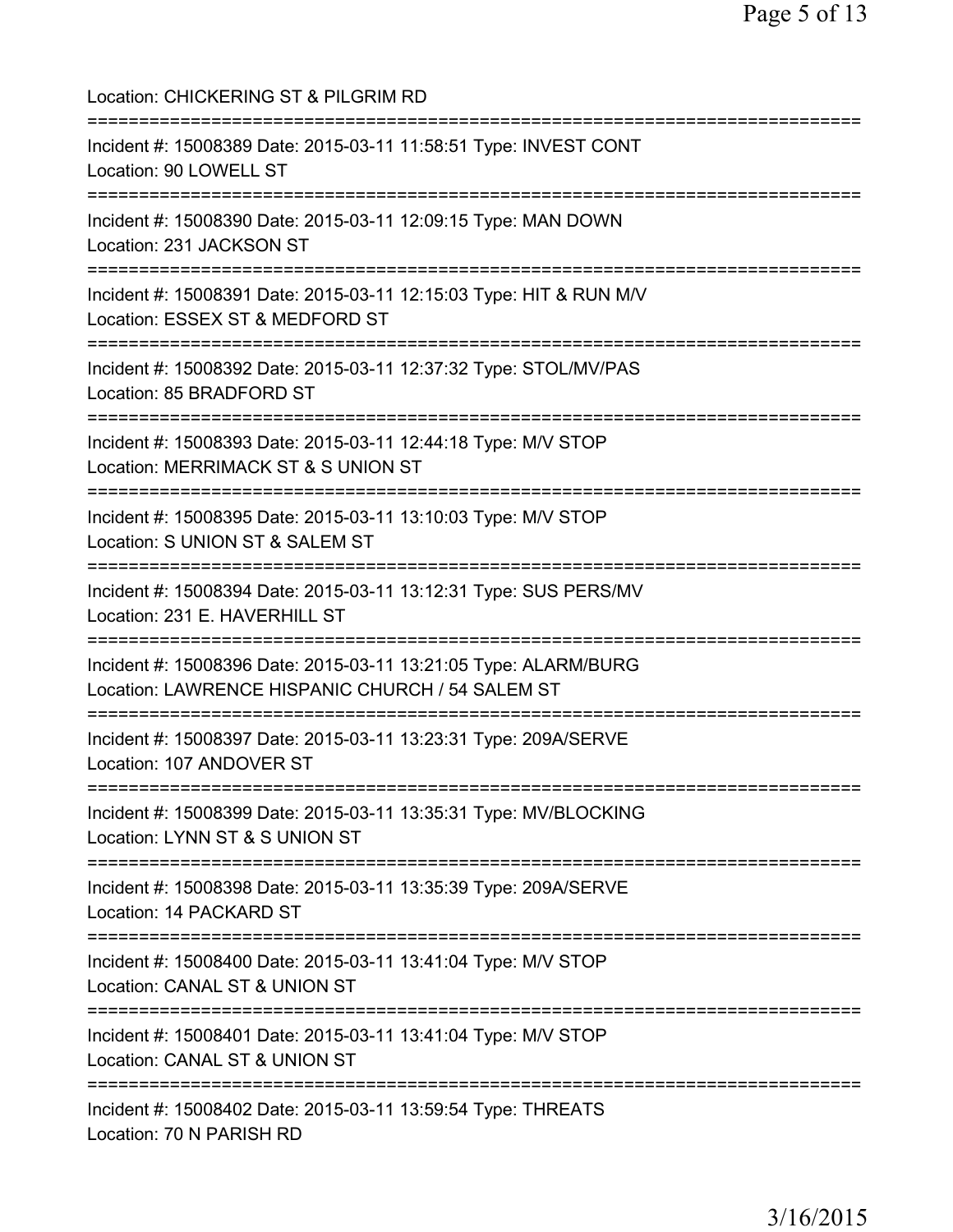Location: CHICKERING ST & PILGRIM RD =========================================================================== Incident #: 15008389 Date: 2015-03-11 11:58:51 Type: INVEST CONT Location: 90 LOWELL ST =========================================================================== Incident #: 15008390 Date: 2015-03-11 12:09:15 Type: MAN DOWN Location: 231 JACKSON ST =========================================================================== Incident #: 15008391 Date: 2015-03-11 12:15:03 Type: HIT & RUN M/V Location: ESSEX ST & MEDFORD ST =========================================================================== Incident #: 15008392 Date: 2015-03-11 12:37:32 Type: STOL/MV/PAS Location: 85 BRADFORD ST =========================================================================== Incident #: 15008393 Date: 2015-03-11 12:44:18 Type: M/V STOP Location: MERRIMACK ST & S UNION ST =========================================================================== Incident #: 15008395 Date: 2015-03-11 13:10:03 Type: M/V STOP Location: S UNION ST & SALEM ST =========================================================================== Incident #: 15008394 Date: 2015-03-11 13:12:31 Type: SUS PERS/MV Location: 231 E. HAVERHILL ST =========================================================================== Incident #: 15008396 Date: 2015-03-11 13:21:05 Type: ALARM/BURG Location: LAWRENCE HISPANIC CHURCH / 54 SALEM ST =========================================================================== Incident #: 15008397 Date: 2015-03-11 13:23:31 Type: 209A/SERVE Location: 107 ANDOVER ST =========================================================================== Incident #: 15008399 Date: 2015-03-11 13:35:31 Type: MV/BLOCKING Location: LYNN ST & S UNION ST =========================================================================== Incident #: 15008398 Date: 2015-03-11 13:35:39 Type: 209A/SERVE Location: 14 PACKARD ST =========================================================================== Incident #: 15008400 Date: 2015-03-11 13:41:04 Type: M/V STOP Location: CANAL ST & UNION ST =========================================================================== Incident #: 15008401 Date: 2015-03-11 13:41:04 Type: M/V STOP Location: CANAL ST & UNION ST =========================================================================== Incident #: 15008402 Date: 2015-03-11 13:59:54 Type: THREATS Location: 70 N PARISH RD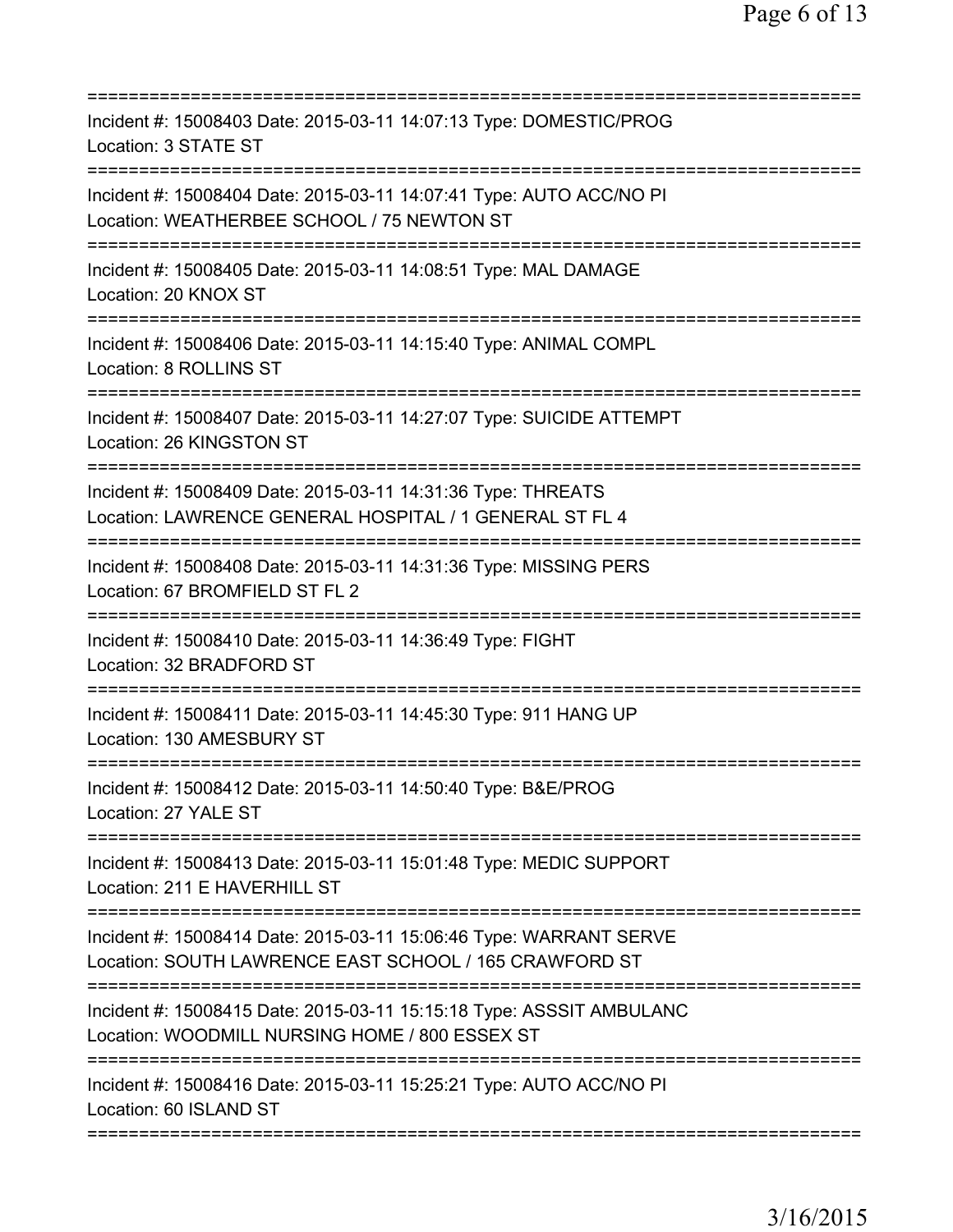| Incident #: 15008403 Date: 2015-03-11 14:07:13 Type: DOMESTIC/PROG<br>Location: 3 STATE ST                                        |
|-----------------------------------------------------------------------------------------------------------------------------------|
| Incident #: 15008404 Date: 2015-03-11 14:07:41 Type: AUTO ACC/NO PI<br>Location: WEATHERBEE SCHOOL / 75 NEWTON ST                 |
| Incident #: 15008405 Date: 2015-03-11 14:08:51 Type: MAL DAMAGE<br>Location: 20 KNOX ST                                           |
| Incident #: 15008406 Date: 2015-03-11 14:15:40 Type: ANIMAL COMPL<br>Location: 8 ROLLINS ST                                       |
| Incident #: 15008407 Date: 2015-03-11 14:27:07 Type: SUICIDE ATTEMPT<br>Location: 26 KINGSTON ST                                  |
| Incident #: 15008409 Date: 2015-03-11 14:31:36 Type: THREATS<br>Location: LAWRENCE GENERAL HOSPITAL / 1 GENERAL ST FL 4           |
| Incident #: 15008408 Date: 2015-03-11 14:31:36 Type: MISSING PERS<br>Location: 67 BROMFIELD ST FL 2<br>===========                |
| Incident #: 15008410 Date: 2015-03-11 14:36:49 Type: FIGHT<br>Location: 32 BRADFORD ST                                            |
| Incident #: 15008411 Date: 2015-03-11 14:45:30 Type: 911 HANG UP<br>Location: 130 AMESBURY ST                                     |
| Incident #: 15008412 Date: 2015-03-11 14:50:40 Type: B&E/PROG<br>Location: 27 YALE ST                                             |
| Incident #: 15008413 Date: 2015-03-11 15:01:48 Type: MEDIC SUPPORT<br>Location: 211 E HAVERHILL ST                                |
| Incident #: 15008414 Date: 2015-03-11 15:06:46 Type: WARRANT SERVE<br>Location: SOUTH LAWRENCE EAST SCHOOL / 165 CRAWFORD ST      |
| Incident #: 15008415 Date: 2015-03-11 15:15:18 Type: ASSSIT AMBULANC<br>Location: WOODMILL NURSING HOME / 800 ESSEX ST            |
| ================================<br>Incident #: 15008416 Date: 2015-03-11 15:25:21 Type: AUTO ACC/NO PI<br>Location: 60 ISLAND ST |
|                                                                                                                                   |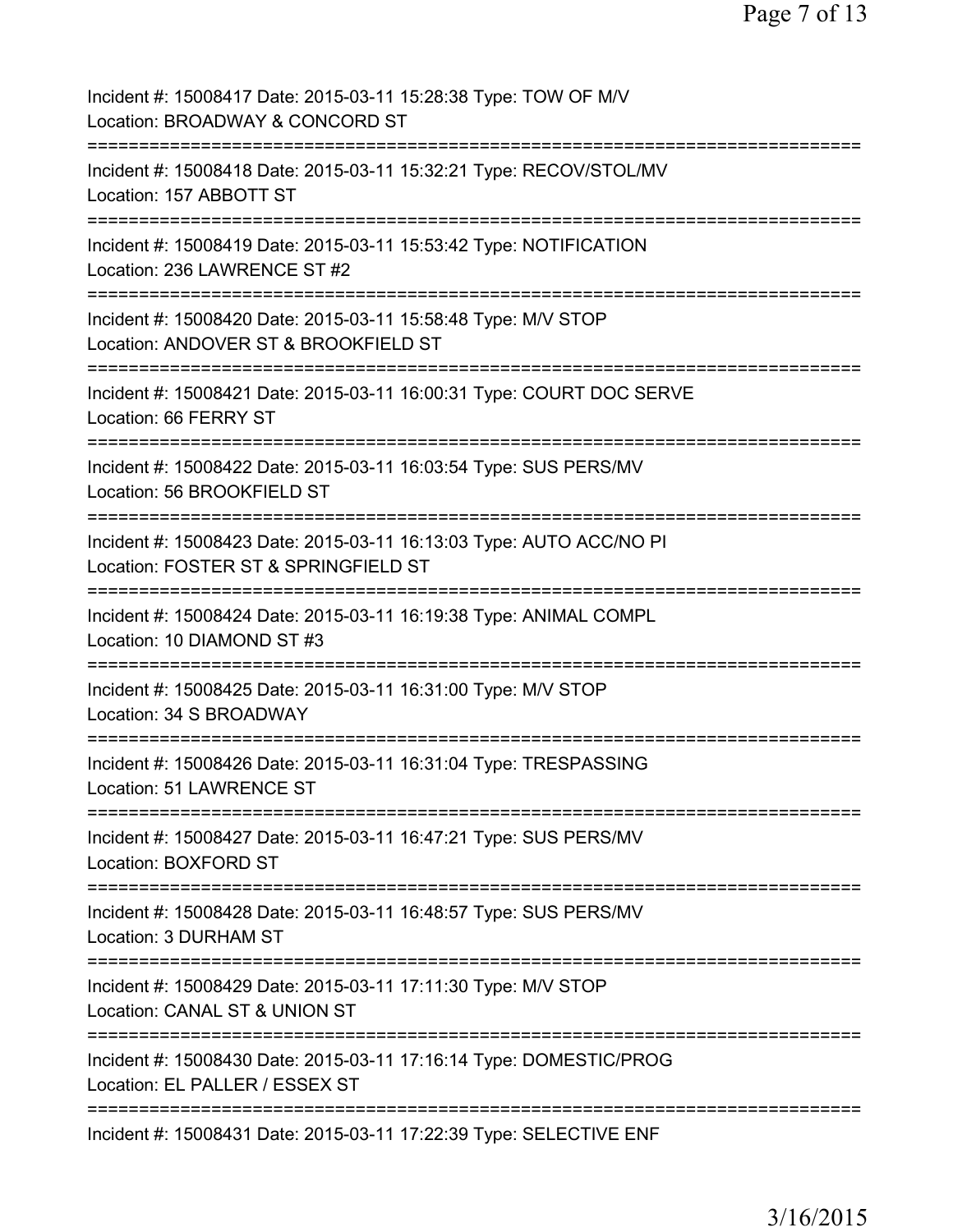| Incident #: 15008417 Date: 2015-03-11 15:28:38 Type: TOW OF M/V<br>Location: BROADWAY & CONCORD ST                                                 |
|----------------------------------------------------------------------------------------------------------------------------------------------------|
| Incident #: 15008418 Date: 2015-03-11 15:32:21 Type: RECOV/STOL/MV<br>Location: 157 ABBOTT ST                                                      |
| Incident #: 15008419 Date: 2015-03-11 15:53:42 Type: NOTIFICATION<br>Location: 236 LAWRENCE ST #2                                                  |
| Incident #: 15008420 Date: 2015-03-11 15:58:48 Type: M/V STOP<br>Location: ANDOVER ST & BROOKFIELD ST                                              |
| Incident #: 15008421 Date: 2015-03-11 16:00:31 Type: COURT DOC SERVE<br>Location: 66 FERRY ST                                                      |
| Incident #: 15008422 Date: 2015-03-11 16:03:54 Type: SUS PERS/MV<br>Location: 56 BROOKFIELD ST                                                     |
| ===================================<br>Incident #: 15008423 Date: 2015-03-11 16:13:03 Type: AUTO ACC/NO PI<br>Location: FOSTER ST & SPRINGFIELD ST |
| Incident #: 15008424 Date: 2015-03-11 16:19:38 Type: ANIMAL COMPL<br>Location: 10 DIAMOND ST #3                                                    |
| Incident #: 15008425 Date: 2015-03-11 16:31:00 Type: M/V STOP<br>Location: 34 S BROADWAY                                                           |
| Incident #: 15008426 Date: 2015-03-11 16:31:04 Type: TRESPASSING<br><b>Location: 51 LAWRENCE ST</b>                                                |
| Incident #: 15008427 Date: 2015-03-11 16:47:21 Type: SUS PERS/MV<br>Location: BOXFORD ST                                                           |
| Incident #: 15008428 Date: 2015-03-11 16:48:57 Type: SUS PERS/MV<br>Location: 3 DURHAM ST                                                          |
| Incident #: 15008429 Date: 2015-03-11 17:11:30 Type: M/V STOP<br>Location: CANAL ST & UNION ST                                                     |
| Incident #: 15008430 Date: 2015-03-11 17:16:14 Type: DOMESTIC/PROG<br>Location: EL PALLER / ESSEX ST                                               |
| Incident #: 15008431 Date: 2015-03-11 17:22:39 Type: SELECTIVE ENF                                                                                 |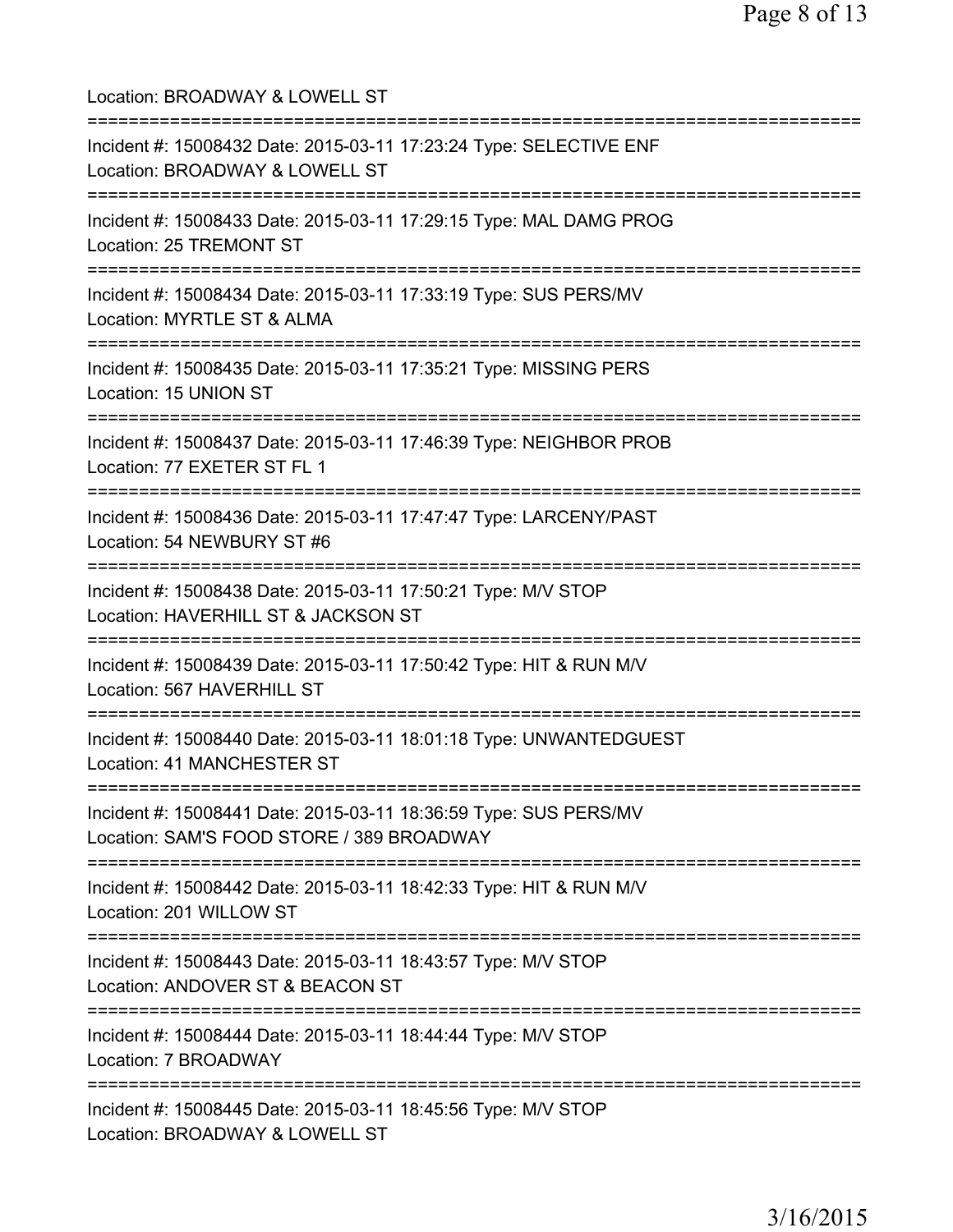| Location: BROADWAY & LOWELL ST<br>=====================================                                                                       |
|-----------------------------------------------------------------------------------------------------------------------------------------------|
| Incident #: 15008432 Date: 2015-03-11 17:23:24 Type: SELECTIVE ENF<br>Location: BROADWAY & LOWELL ST                                          |
| Incident #: 15008433 Date: 2015-03-11 17:29:15 Type: MAL DAMG PROG<br>Location: 25 TREMONT ST<br>==========================                   |
| Incident #: 15008434 Date: 2015-03-11 17:33:19 Type: SUS PERS/MV<br>Location: MYRTLE ST & ALMA<br>======================================      |
| Incident #: 15008435 Date: 2015-03-11 17:35:21 Type: MISSING PERS<br>Location: 15 UNION ST                                                    |
| Incident #: 15008437 Date: 2015-03-11 17:46:39 Type: NEIGHBOR PROB<br>Location: 77 EXETER ST FL 1                                             |
| Incident #: 15008436 Date: 2015-03-11 17:47:47 Type: LARCENY/PAST<br>Location: 54 NEWBURY ST #6                                               |
| Incident #: 15008438 Date: 2015-03-11 17:50:21 Type: M/V STOP<br>Location: HAVERHILL ST & JACKSON ST                                          |
| Incident #: 15008439 Date: 2015-03-11 17:50:42 Type: HIT & RUN M/V<br>Location: 567 HAVERHILL ST                                              |
| Incident #: 15008440 Date: 2015-03-11 18:01:18 Type: UNWANTEDGUEST<br>Location: 41 MANCHESTER ST                                              |
| :===========================<br>Incident #: 15008441 Date: 2015-03-11 18:36:59 Type: SUS PERS/MV<br>Location: SAM'S FOOD STORE / 389 BROADWAY |
| Incident #: 15008442 Date: 2015-03-11 18:42:33 Type: HIT & RUN M/V<br>Location: 201 WILLOW ST                                                 |
| Incident #: 15008443 Date: 2015-03-11 18:43:57 Type: M/V STOP<br>Location: ANDOVER ST & BEACON ST                                             |
| Incident #: 15008444 Date: 2015-03-11 18:44:44 Type: M/V STOP<br>Location: 7 BROADWAY                                                         |
| Incident #: 15008445 Date: 2015-03-11 18:45:56 Type: M/V STOP<br>Location: BROADWAY & LOWELL ST                                               |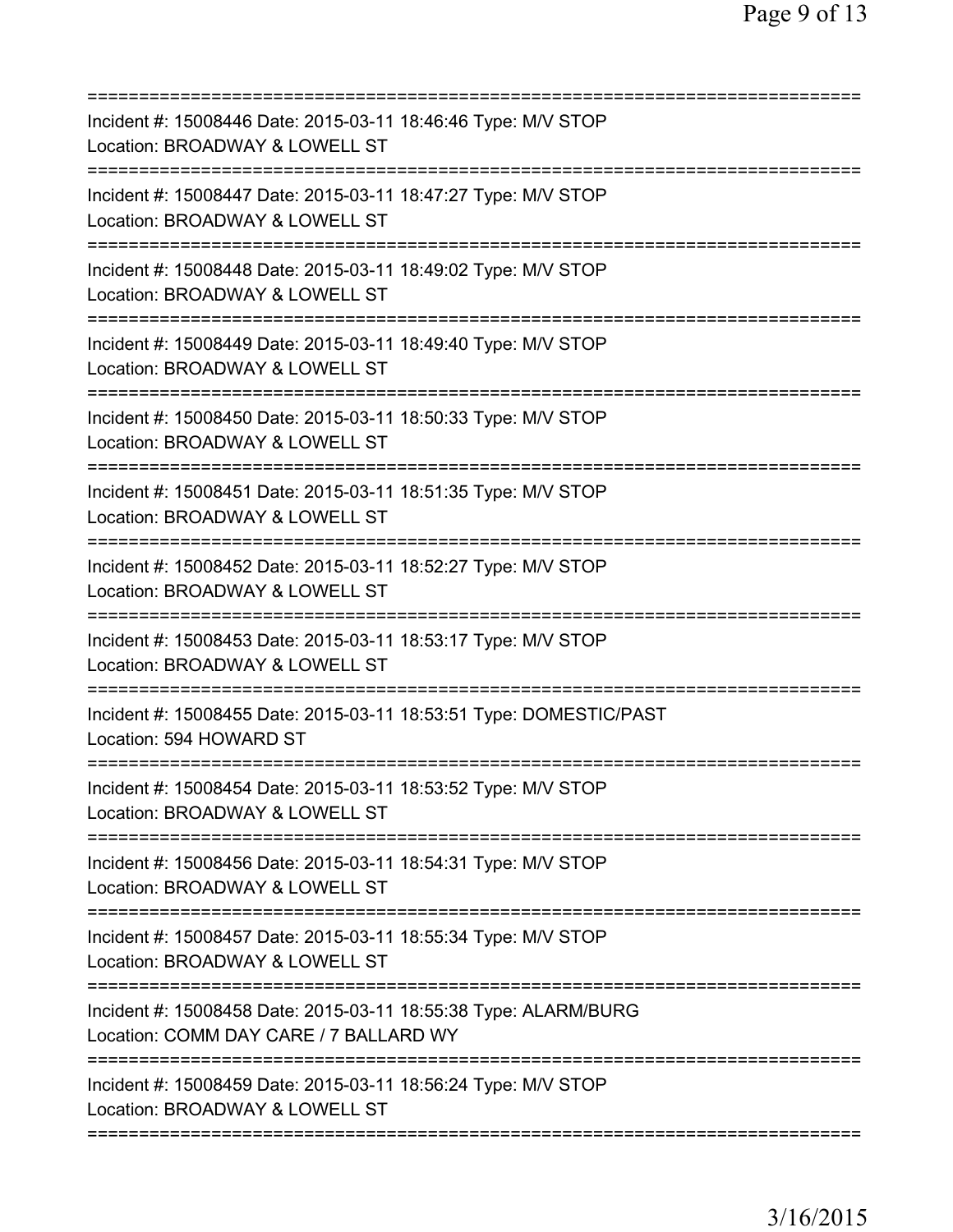| Incident #: 15008446 Date: 2015-03-11 18:46:46 Type: M/V STOP<br>Location: BROADWAY & LOWELL ST                                 |
|---------------------------------------------------------------------------------------------------------------------------------|
| Incident #: 15008447 Date: 2015-03-11 18:47:27 Type: M/V STOP<br>Location: BROADWAY & LOWELL ST                                 |
| Incident #: 15008448 Date: 2015-03-11 18:49:02 Type: M/V STOP<br>Location: BROADWAY & LOWELL ST                                 |
| Incident #: 15008449 Date: 2015-03-11 18:49:40 Type: M/V STOP<br>Location: BROADWAY & LOWELL ST                                 |
| ;========================<br>Incident #: 15008450 Date: 2015-03-11 18:50:33 Type: M/V STOP<br>Location: BROADWAY & LOWELL ST    |
| ========================<br>Incident #: 15008451 Date: 2015-03-11 18:51:35 Type: M/V STOP<br>Location: BROADWAY & LOWELL ST     |
| Incident #: 15008452 Date: 2015-03-11 18:52:27 Type: M/V STOP<br>Location: BROADWAY & LOWELL ST                                 |
| Incident #: 15008453 Date: 2015-03-11 18:53:17 Type: M/V STOP<br>Location: BROADWAY & LOWELL ST                                 |
| Incident #: 15008455 Date: 2015-03-11 18:53:51 Type: DOMESTIC/PAST<br>Location: 594 HOWARD ST                                   |
| Incident #: 15008454 Date: 2015-03-11 18:53:52 Type: M/V STOP<br>Location: BROADWAY & LOWELL ST                                 |
| ============================<br>Incident #: 15008456 Date: 2015-03-11 18:54:31 Type: M/V STOP<br>Location: BROADWAY & LOWELL ST |
| Incident #: 15008457 Date: 2015-03-11 18:55:34 Type: M/V STOP<br>Location: BROADWAY & LOWELL ST                                 |
| Incident #: 15008458 Date: 2015-03-11 18:55:38 Type: ALARM/BURG<br>Location: COMM DAY CARE / 7 BALLARD WY                       |
| Incident #: 15008459 Date: 2015-03-11 18:56:24 Type: M/V STOP<br>Location: BROADWAY & LOWELL ST                                 |
|                                                                                                                                 |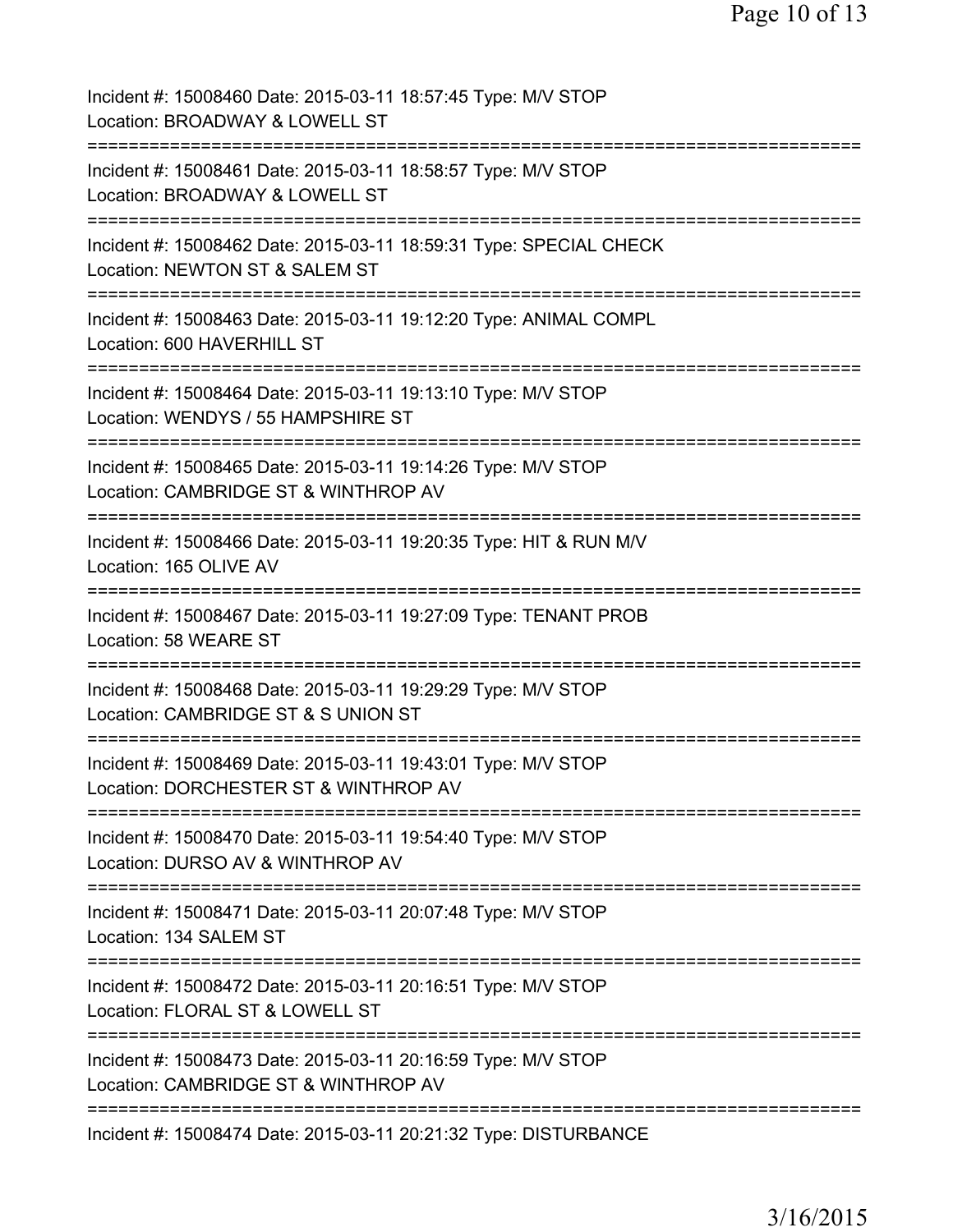| Incident #: 15008460 Date: 2015-03-11 18:57:45 Type: M/V STOP<br>Location: BROADWAY & LOWELL ST        |
|--------------------------------------------------------------------------------------------------------|
| Incident #: 15008461 Date: 2015-03-11 18:58:57 Type: M/V STOP<br>Location: BROADWAY & LOWELL ST        |
| Incident #: 15008462 Date: 2015-03-11 18:59:31 Type: SPECIAL CHECK<br>Location: NEWTON ST & SALEM ST   |
| Incident #: 15008463 Date: 2015-03-11 19:12:20 Type: ANIMAL COMPL<br>Location: 600 HAVERHILL ST        |
| Incident #: 15008464 Date: 2015-03-11 19:13:10 Type: M/V STOP<br>Location: WENDYS / 55 HAMPSHIRE ST    |
| Incident #: 15008465 Date: 2015-03-11 19:14:26 Type: M/V STOP<br>Location: CAMBRIDGE ST & WINTHROP AV  |
| Incident #: 15008466 Date: 2015-03-11 19:20:35 Type: HIT & RUN M/V<br>Location: 165 OLIVE AV           |
| Incident #: 15008467 Date: 2015-03-11 19:27:09 Type: TENANT PROB<br>Location: 58 WEARE ST              |
| Incident #: 15008468 Date: 2015-03-11 19:29:29 Type: M/V STOP<br>Location: CAMBRIDGE ST & S UNION ST   |
| Incident #: 15008469 Date: 2015-03-11 19:43:01 Type: M/V STOP<br>Location: DORCHESTER ST & WINTHROP AV |
| Incident #: 15008470 Date: 2015-03-11 19:54:40 Type: M/V STOP<br>Location: DURSO AV & WINTHROP AV      |
| Incident #: 15008471 Date: 2015-03-11 20:07:48 Type: M/V STOP<br>Location: 134 SALEM ST                |
| Incident #: 15008472 Date: 2015-03-11 20:16:51 Type: M/V STOP<br>Location: FLORAL ST & LOWELL ST       |
| Incident #: 15008473 Date: 2015-03-11 20:16:59 Type: M/V STOP<br>Location: CAMBRIDGE ST & WINTHROP AV  |
| Incident #: 15008474 Date: 2015-03-11 20:21:32 Type: DISTURBANCE                                       |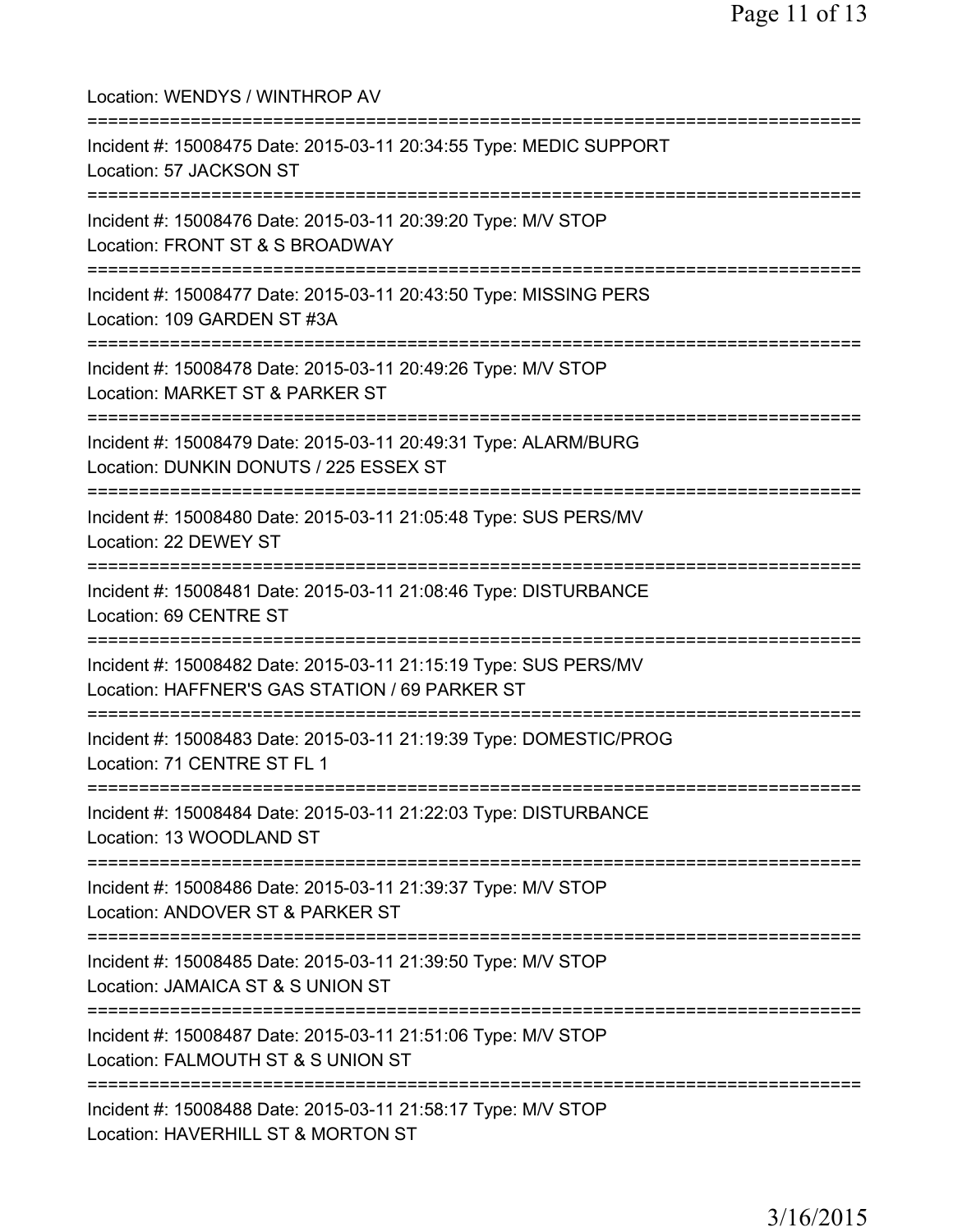| Location: WENDYS / WINTHROP AV<br>====================================                                                                                      |
|-------------------------------------------------------------------------------------------------------------------------------------------------------------|
| Incident #: 15008475 Date: 2015-03-11 20:34:55 Type: MEDIC SUPPORT<br>Location: 57 JACKSON ST                                                               |
| Incident #: 15008476 Date: 2015-03-11 20:39:20 Type: M/V STOP<br>Location: FRONT ST & S BROADWAY<br>=========================                               |
| Incident #: 15008477 Date: 2015-03-11 20:43:50 Type: MISSING PERS<br>Location: 109 GARDEN ST #3A<br>._____________________                                  |
| Incident #: 15008478 Date: 2015-03-11 20:49:26 Type: M/V STOP<br>Location: MARKET ST & PARKER ST                                                            |
| ============================<br>Incident #: 15008479 Date: 2015-03-11 20:49:31 Type: ALARM/BURG<br>Location: DUNKIN DONUTS / 225 ESSEX ST                   |
| Incident #: 15008480 Date: 2015-03-11 21:05:48 Type: SUS PERS/MV<br>Location: 22 DEWEY ST                                                                   |
| Incident #: 15008481 Date: 2015-03-11 21:08:46 Type: DISTURBANCE<br>Location: 69 CENTRE ST                                                                  |
| Incident #: 15008482 Date: 2015-03-11 21:15:19 Type: SUS PERS/MV<br>Location: HAFFNER'S GAS STATION / 69 PARKER ST<br>===================================== |
| Incident #: 15008483 Date: 2015-03-11 21:19:39 Type: DOMESTIC/PROG<br>Location: 71 CENTRE ST FL 1                                                           |
| Incident #: 15008484 Date: 2015-03-11 21:22:03 Type: DISTURBANCE<br>Location: 13 WOODLAND ST                                                                |
| Incident #: 15008486 Date: 2015-03-11 21:39:37 Type: M/V STOP<br>Location: ANDOVER ST & PARKER ST                                                           |
| Incident #: 15008485 Date: 2015-03-11 21:39:50 Type: M/V STOP<br>Location: JAMAICA ST & S UNION ST                                                          |
| ========================<br>Incident #: 15008487 Date: 2015-03-11 21:51:06 Type: M/V STOP<br>Location: FALMOUTH ST & S UNION ST                             |
| Incident #: 15008488 Date: 2015-03-11 21:58:17 Type: M/V STOP<br>Location: HAVERHILL ST & MORTON ST                                                         |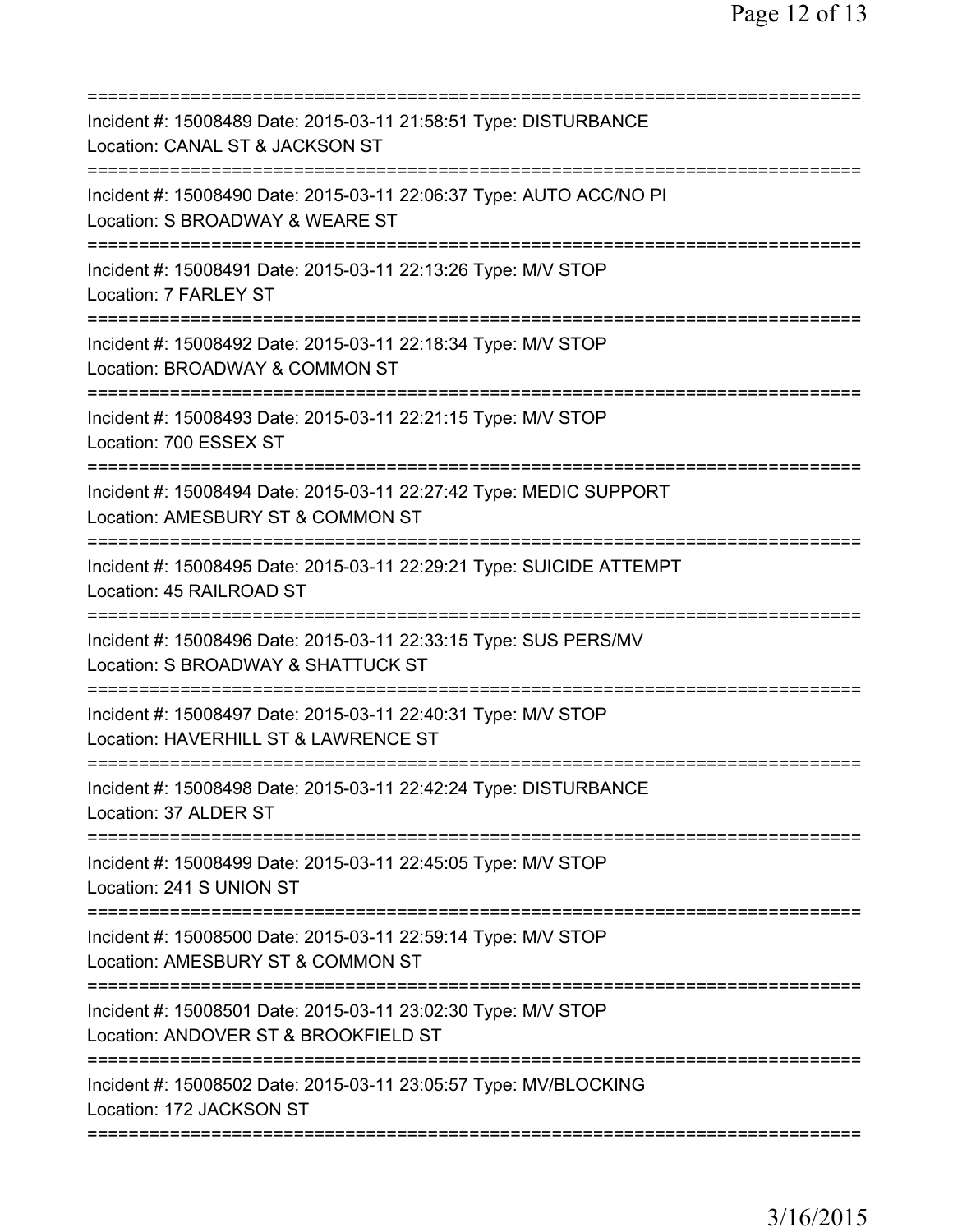| Incident #: 15008489 Date: 2015-03-11 21:58:51 Type: DISTURBANCE<br>Location: CANAL ST & JACKSON ST                                             |
|-------------------------------------------------------------------------------------------------------------------------------------------------|
| Incident #: 15008490 Date: 2015-03-11 22:06:37 Type: AUTO ACC/NO PI<br>Location: S BROADWAY & WEARE ST                                          |
| Incident #: 15008491 Date: 2015-03-11 22:13:26 Type: M/V STOP<br>Location: 7 FARLEY ST                                                          |
| Incident #: 15008492 Date: 2015-03-11 22:18:34 Type: M/V STOP<br>Location: BROADWAY & COMMON ST                                                 |
| Incident #: 15008493 Date: 2015-03-11 22:21:15 Type: M/V STOP<br>Location: 700 ESSEX ST                                                         |
| ====================================<br>Incident #: 15008494 Date: 2015-03-11 22:27:42 Type: MEDIC SUPPORT<br>Location: AMESBURY ST & COMMON ST |
| Incident #: 15008495 Date: 2015-03-11 22:29:21 Type: SUICIDE ATTEMPT<br>Location: 45 RAILROAD ST                                                |
| Incident #: 15008496 Date: 2015-03-11 22:33:15 Type: SUS PERS/MV<br>Location: S BROADWAY & SHATTUCK ST                                          |
| Incident #: 15008497 Date: 2015-03-11 22:40:31 Type: M/V STOP<br>Location: HAVERHILL ST & LAWRENCE ST                                           |
| Incident #: 15008498 Date: 2015-03-11 22:42:24 Type: DISTURBANCE<br>Location: 37 ALDER ST                                                       |
| Incident #: 15008499 Date: 2015-03-11 22:45:05 Type: M/V STOP<br>Location: 241 S UNION ST                                                       |
| Incident #: 15008500 Date: 2015-03-11 22:59:14 Type: M/V STOP<br>Location: AMESBURY ST & COMMON ST                                              |
| Incident #: 15008501 Date: 2015-03-11 23:02:30 Type: M/V STOP<br>Location: ANDOVER ST & BROOKFIELD ST                                           |
| Incident #: 15008502 Date: 2015-03-11 23:05:57 Type: MV/BLOCKING<br>Location: 172 JACKSON ST                                                    |
|                                                                                                                                                 |